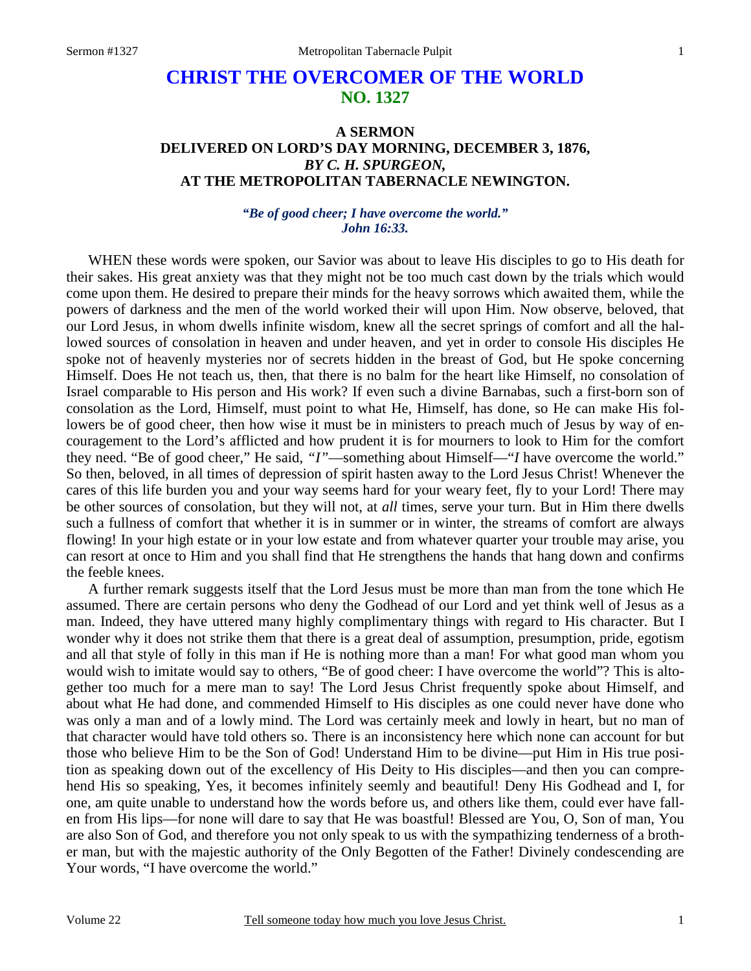# **CHRIST THE OVERCOMER OF THE WORLD NO. 1327**

# **A SERMON DELIVERED ON LORD'S DAY MORNING, DECEMBER 3, 1876,**  *BY C. H. SPURGEON,*  **AT THE METROPOLITAN TABERNACLE NEWINGTON.**

### *"Be of good cheer; I have overcome the world." John 16:33.*

WHEN these words were spoken, our Savior was about to leave His disciples to go to His death for their sakes. His great anxiety was that they might not be too much cast down by the trials which would come upon them. He desired to prepare their minds for the heavy sorrows which awaited them, while the powers of darkness and the men of the world worked their will upon Him. Now observe, beloved, that our Lord Jesus, in whom dwells infinite wisdom, knew all the secret springs of comfort and all the hallowed sources of consolation in heaven and under heaven, and yet in order to console His disciples He spoke not of heavenly mysteries nor of secrets hidden in the breast of God, but He spoke concerning Himself. Does He not teach us, then, that there is no balm for the heart like Himself, no consolation of Israel comparable to His person and His work? If even such a divine Barnabas, such a first-born son of consolation as the Lord, Himself, must point to what He, Himself, has done, so He can make His followers be of good cheer, then how wise it must be in ministers to preach much of Jesus by way of encouragement to the Lord's afflicted and how prudent it is for mourners to look to Him for the comfort they need. "Be of good cheer," He said, *"I"*—something about Himself—"*I* have overcome the world." So then, beloved, in all times of depression of spirit hasten away to the Lord Jesus Christ! Whenever the cares of this life burden you and your way seems hard for your weary feet, fly to your Lord! There may be other sources of consolation, but they will not, at *all* times, serve your turn. But in Him there dwells such a fullness of comfort that whether it is in summer or in winter, the streams of comfort are always flowing! In your high estate or in your low estate and from whatever quarter your trouble may arise, you can resort at once to Him and you shall find that He strengthens the hands that hang down and confirms the feeble knees.

 A further remark suggests itself that the Lord Jesus must be more than man from the tone which He assumed. There are certain persons who deny the Godhead of our Lord and yet think well of Jesus as a man. Indeed, they have uttered many highly complimentary things with regard to His character. But I wonder why it does not strike them that there is a great deal of assumption, presumption, pride, egotism and all that style of folly in this man if He is nothing more than a man! For what good man whom you would wish to imitate would say to others, "Be of good cheer: I have overcome the world"? This is altogether too much for a mere man to say! The Lord Jesus Christ frequently spoke about Himself, and about what He had done, and commended Himself to His disciples as one could never have done who was only a man and of a lowly mind. The Lord was certainly meek and lowly in heart, but no man of that character would have told others so. There is an inconsistency here which none can account for but those who believe Him to be the Son of God! Understand Him to be divine—put Him in His true position as speaking down out of the excellency of His Deity to His disciples—and then you can comprehend His so speaking, Yes, it becomes infinitely seemly and beautiful! Deny His Godhead and I, for one, am quite unable to understand how the words before us, and others like them, could ever have fallen from His lips—for none will dare to say that He was boastful! Blessed are You, O, Son of man, You are also Son of God, and therefore you not only speak to us with the sympathizing tenderness of a brother man, but with the majestic authority of the Only Begotten of the Father! Divinely condescending are Your words, "I have overcome the world."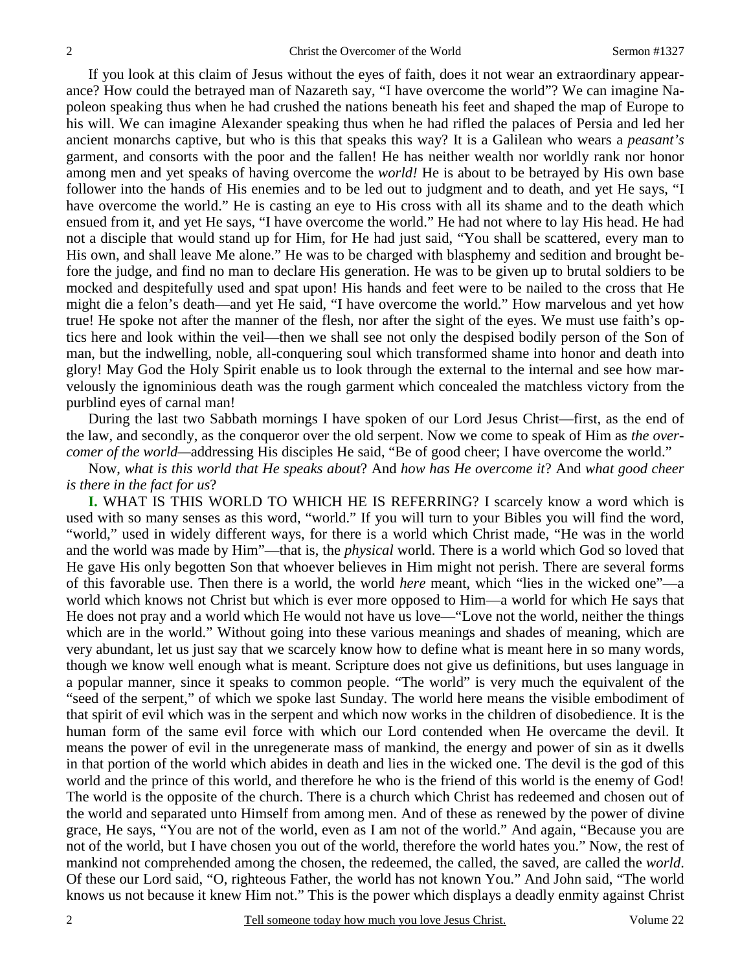If you look at this claim of Jesus without the eyes of faith, does it not wear an extraordinary appearance? How could the betrayed man of Nazareth say, "I have overcome the world"? We can imagine Napoleon speaking thus when he had crushed the nations beneath his feet and shaped the map of Europe to his will. We can imagine Alexander speaking thus when he had rifled the palaces of Persia and led her ancient monarchs captive, but who is this that speaks this way? It is a Galilean who wears a *peasant's* garment, and consorts with the poor and the fallen! He has neither wealth nor worldly rank nor honor among men and yet speaks of having overcome the *world!* He is about to be betrayed by His own base follower into the hands of His enemies and to be led out to judgment and to death, and yet He says, "I have overcome the world." He is casting an eye to His cross with all its shame and to the death which ensued from it, and yet He says, "I have overcome the world." He had not where to lay His head. He had not a disciple that would stand up for Him, for He had just said, "You shall be scattered, every man to His own, and shall leave Me alone." He was to be charged with blasphemy and sedition and brought before the judge, and find no man to declare His generation. He was to be given up to brutal soldiers to be mocked and despitefully used and spat upon! His hands and feet were to be nailed to the cross that He might die a felon's death—and yet He said, "I have overcome the world." How marvelous and yet how true! He spoke not after the manner of the flesh, nor after the sight of the eyes. We must use faith's optics here and look within the veil—then we shall see not only the despised bodily person of the Son of man, but the indwelling, noble, all-conquering soul which transformed shame into honor and death into glory! May God the Holy Spirit enable us to look through the external to the internal and see how marvelously the ignominious death was the rough garment which concealed the matchless victory from the purblind eyes of carnal man!

 During the last two Sabbath mornings I have spoken of our Lord Jesus Christ—first, as the end of the law, and secondly, as the conqueror over the old serpent. Now we come to speak of Him as *the overcomer of the world—addressing His disciples He said, "Be of good cheer; I have overcome the world."* 

 Now, *what is this world that He speaks about*? And *how has He overcome it*? And *what good cheer is there in the fact for us*?

**I.** WHAT IS THIS WORLD TO WHICH HE IS REFERRING? I scarcely know a word which is used with so many senses as this word, "world." If you will turn to your Bibles you will find the word, "world," used in widely different ways, for there is a world which Christ made, "He was in the world and the world was made by Him"—that is, the *physical* world. There is a world which God so loved that He gave His only begotten Son that whoever believes in Him might not perish. There are several forms of this favorable use. Then there is a world, the world *here* meant, which "lies in the wicked one"—a world which knows not Christ but which is ever more opposed to Him—a world for which He says that He does not pray and a world which He would not have us love—"Love not the world, neither the things which are in the world." Without going into these various meanings and shades of meaning, which are very abundant, let us just say that we scarcely know how to define what is meant here in so many words, though we know well enough what is meant. Scripture does not give us definitions, but uses language in a popular manner, since it speaks to common people. "The world" is very much the equivalent of the "seed of the serpent," of which we spoke last Sunday. The world here means the visible embodiment of that spirit of evil which was in the serpent and which now works in the children of disobedience. It is the human form of the same evil force with which our Lord contended when He overcame the devil. It means the power of evil in the unregenerate mass of mankind, the energy and power of sin as it dwells in that portion of the world which abides in death and lies in the wicked one. The devil is the god of this world and the prince of this world, and therefore he who is the friend of this world is the enemy of God! The world is the opposite of the church. There is a church which Christ has redeemed and chosen out of the world and separated unto Himself from among men. And of these as renewed by the power of divine grace, He says, "You are not of the world, even as I am not of the world." And again, "Because you are not of the world, but I have chosen you out of the world, therefore the world hates you." Now, the rest of mankind not comprehended among the chosen, the redeemed, the called, the saved, are called the *world*. Of these our Lord said, "O, righteous Father, the world has not known You." And John said, "The world knows us not because it knew Him not." This is the power which displays a deadly enmity against Christ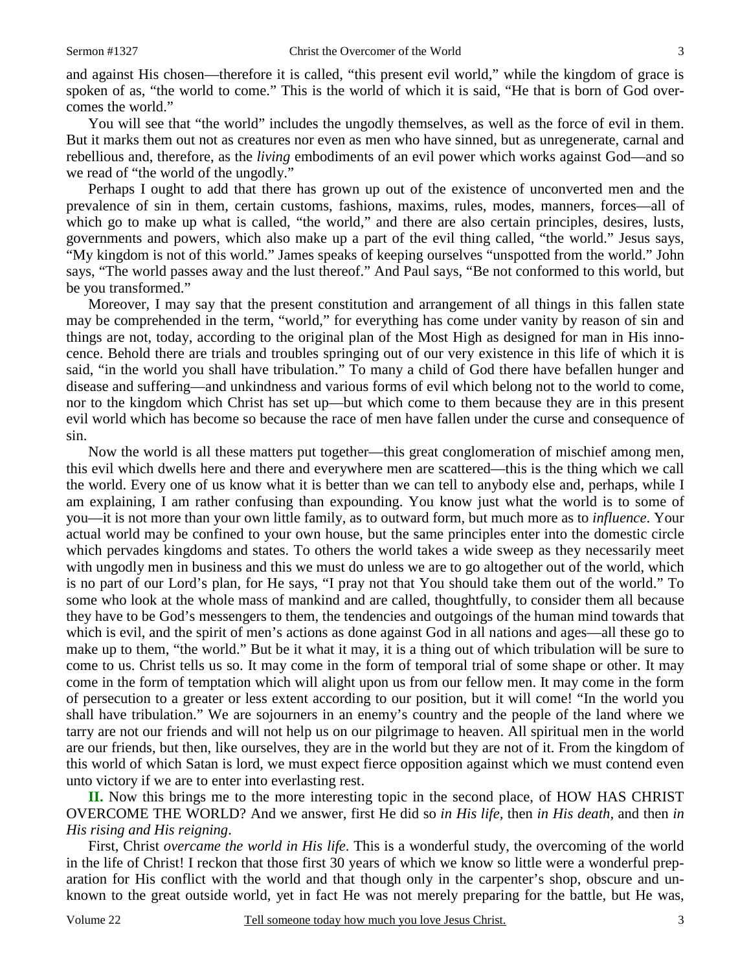and against His chosen—therefore it is called, "this present evil world," while the kingdom of grace is spoken of as, "the world to come." This is the world of which it is said, "He that is born of God overcomes the world."

 You will see that "the world" includes the ungodly themselves, as well as the force of evil in them. But it marks them out not as creatures nor even as men who have sinned, but as unregenerate, carnal and rebellious and, therefore, as the *living* embodiments of an evil power which works against God—and so we read of "the world of the ungodly."

 Perhaps I ought to add that there has grown up out of the existence of unconverted men and the prevalence of sin in them, certain customs, fashions, maxims, rules, modes, manners, forces—all of which go to make up what is called, "the world," and there are also certain principles, desires, lusts, governments and powers, which also make up a part of the evil thing called, "the world." Jesus says, "My kingdom is not of this world." James speaks of keeping ourselves "unspotted from the world." John says, "The world passes away and the lust thereof." And Paul says, "Be not conformed to this world, but be you transformed."

 Moreover, I may say that the present constitution and arrangement of all things in this fallen state may be comprehended in the term, "world," for everything has come under vanity by reason of sin and things are not, today, according to the original plan of the Most High as designed for man in His innocence. Behold there are trials and troubles springing out of our very existence in this life of which it is said, "in the world you shall have tribulation." To many a child of God there have befallen hunger and disease and suffering—and unkindness and various forms of evil which belong not to the world to come, nor to the kingdom which Christ has set up—but which come to them because they are in this present evil world which has become so because the race of men have fallen under the curse and consequence of sin.

 Now the world is all these matters put together—this great conglomeration of mischief among men, this evil which dwells here and there and everywhere men are scattered—this is the thing which we call the world. Every one of us know what it is better than we can tell to anybody else and, perhaps, while I am explaining, I am rather confusing than expounding. You know just what the world is to some of you—it is not more than your own little family, as to outward form, but much more as to *influence*. Your actual world may be confined to your own house, but the same principles enter into the domestic circle which pervades kingdoms and states. To others the world takes a wide sweep as they necessarily meet with ungodly men in business and this we must do unless we are to go altogether out of the world, which is no part of our Lord's plan, for He says, "I pray not that You should take them out of the world." To some who look at the whole mass of mankind and are called, thoughtfully, to consider them all because they have to be God's messengers to them, the tendencies and outgoings of the human mind towards that which is evil, and the spirit of men's actions as done against God in all nations and ages—all these go to make up to them, "the world." But be it what it may, it is a thing out of which tribulation will be sure to come to us. Christ tells us so. It may come in the form of temporal trial of some shape or other. It may come in the form of temptation which will alight upon us from our fellow men. It may come in the form of persecution to a greater or less extent according to our position, but it will come! "In the world you shall have tribulation." We are sojourners in an enemy's country and the people of the land where we tarry are not our friends and will not help us on our pilgrimage to heaven. All spiritual men in the world are our friends, but then, like ourselves, they are in the world but they are not of it. From the kingdom of this world of which Satan is lord, we must expect fierce opposition against which we must contend even unto victory if we are to enter into everlasting rest.

**II.** Now this brings me to the more interesting topic in the second place, of HOW HAS CHRIST OVERCOME THE WORLD? And we answer, first He did so *in His life,* then *in His death,* and then *in His rising and His reigning*.

 First, Christ *overcame the world in His life*. This is a wonderful study, the overcoming of the world in the life of Christ! I reckon that those first 30 years of which we know so little were a wonderful preparation for His conflict with the world and that though only in the carpenter's shop, obscure and unknown to the great outside world, yet in fact He was not merely preparing for the battle, but He was,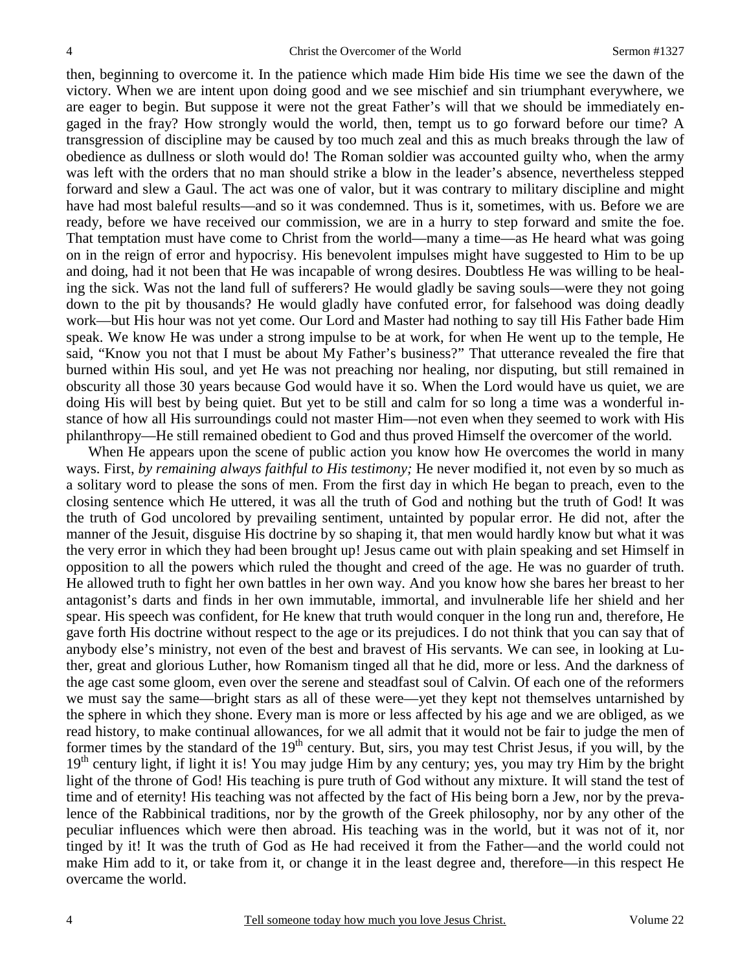then, beginning to overcome it. In the patience which made Him bide His time we see the dawn of the victory. When we are intent upon doing good and we see mischief and sin triumphant everywhere, we are eager to begin. But suppose it were not the great Father's will that we should be immediately engaged in the fray? How strongly would the world, then, tempt us to go forward before our time? A transgression of discipline may be caused by too much zeal and this as much breaks through the law of obedience as dullness or sloth would do! The Roman soldier was accounted guilty who, when the army was left with the orders that no man should strike a blow in the leader's absence, nevertheless stepped forward and slew a Gaul. The act was one of valor, but it was contrary to military discipline and might have had most baleful results—and so it was condemned. Thus is it, sometimes, with us. Before we are ready, before we have received our commission, we are in a hurry to step forward and smite the foe. That temptation must have come to Christ from the world—many a time—as He heard what was going on in the reign of error and hypocrisy. His benevolent impulses might have suggested to Him to be up and doing, had it not been that He was incapable of wrong desires. Doubtless He was willing to be healing the sick. Was not the land full of sufferers? He would gladly be saving souls—were they not going down to the pit by thousands? He would gladly have confuted error, for falsehood was doing deadly work—but His hour was not yet come. Our Lord and Master had nothing to say till His Father bade Him speak. We know He was under a strong impulse to be at work, for when He went up to the temple, He said, "Know you not that I must be about My Father's business?" That utterance revealed the fire that burned within His soul, and yet He was not preaching nor healing, nor disputing, but still remained in obscurity all those 30 years because God would have it so. When the Lord would have us quiet, we are doing His will best by being quiet. But yet to be still and calm for so long a time was a wonderful instance of how all His surroundings could not master Him—not even when they seemed to work with His philanthropy—He still remained obedient to God and thus proved Himself the overcomer of the world.

When He appears upon the scene of public action you know how He overcomes the world in many ways. First, *by remaining always faithful to His testimony;* He never modified it, not even by so much as a solitary word to please the sons of men. From the first day in which He began to preach, even to the closing sentence which He uttered, it was all the truth of God and nothing but the truth of God! It was the truth of God uncolored by prevailing sentiment, untainted by popular error. He did not, after the manner of the Jesuit, disguise His doctrine by so shaping it, that men would hardly know but what it was the very error in which they had been brought up! Jesus came out with plain speaking and set Himself in opposition to all the powers which ruled the thought and creed of the age. He was no guarder of truth. He allowed truth to fight her own battles in her own way. And you know how she bares her breast to her antagonist's darts and finds in her own immutable, immortal, and invulnerable life her shield and her spear. His speech was confident, for He knew that truth would conquer in the long run and, therefore, He gave forth His doctrine without respect to the age or its prejudices. I do not think that you can say that of anybody else's ministry, not even of the best and bravest of His servants. We can see, in looking at Luther, great and glorious Luther, how Romanism tinged all that he did, more or less. And the darkness of the age cast some gloom, even over the serene and steadfast soul of Calvin. Of each one of the reformers we must say the same—bright stars as all of these were—yet they kept not themselves untarnished by the sphere in which they shone. Every man is more or less affected by his age and we are obliged, as we read history, to make continual allowances, for we all admit that it would not be fair to judge the men of former times by the standard of the  $19<sup>th</sup>$  century. But, sirs, you may test Christ Jesus, if you will, by the  $19<sup>th</sup>$  century light, if light it is! You may judge Him by any century; yes, you may try Him by the bright light of the throne of God! His teaching is pure truth of God without any mixture. It will stand the test of time and of eternity! His teaching was not affected by the fact of His being born a Jew, nor by the prevalence of the Rabbinical traditions, nor by the growth of the Greek philosophy, nor by any other of the peculiar influences which were then abroad. His teaching was in the world, but it was not of it, nor tinged by it! It was the truth of God as He had received it from the Father—and the world could not make Him add to it, or take from it, or change it in the least degree and, therefore—in this respect He overcame the world.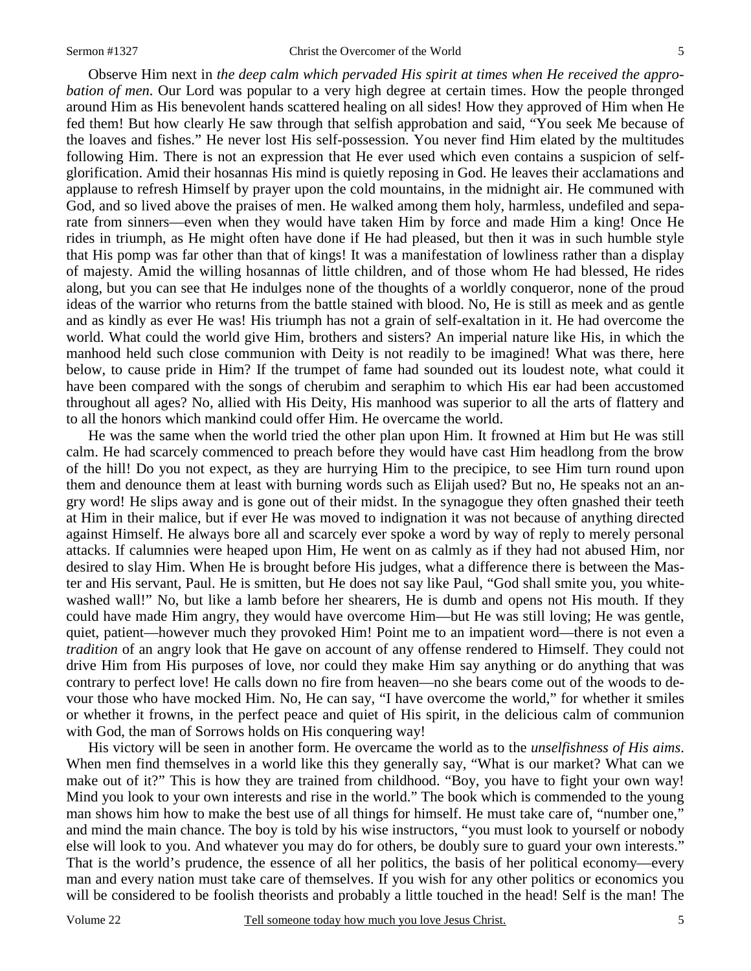Observe Him next in *the deep calm which pervaded His spirit at times when He received the approbation of men*. Our Lord was popular to a very high degree at certain times. How the people thronged around Him as His benevolent hands scattered healing on all sides! How they approved of Him when He fed them! But how clearly He saw through that selfish approbation and said, "You seek Me because of the loaves and fishes." He never lost His self-possession. You never find Him elated by the multitudes following Him. There is not an expression that He ever used which even contains a suspicion of selfglorification. Amid their hosannas His mind is quietly reposing in God. He leaves their acclamations and applause to refresh Himself by prayer upon the cold mountains, in the midnight air. He communed with God, and so lived above the praises of men. He walked among them holy, harmless, undefiled and separate from sinners—even when they would have taken Him by force and made Him a king! Once He rides in triumph, as He might often have done if He had pleased, but then it was in such humble style that His pomp was far other than that of kings! It was a manifestation of lowliness rather than a display of majesty. Amid the willing hosannas of little children, and of those whom He had blessed, He rides along, but you can see that He indulges none of the thoughts of a worldly conqueror, none of the proud ideas of the warrior who returns from the battle stained with blood. No, He is still as meek and as gentle and as kindly as ever He was! His triumph has not a grain of self-exaltation in it. He had overcome the world. What could the world give Him, brothers and sisters? An imperial nature like His, in which the manhood held such close communion with Deity is not readily to be imagined! What was there, here below, to cause pride in Him? If the trumpet of fame had sounded out its loudest note, what could it have been compared with the songs of cherubim and seraphim to which His ear had been accustomed throughout all ages? No, allied with His Deity, His manhood was superior to all the arts of flattery and to all the honors which mankind could offer Him. He overcame the world.

 He was the same when the world tried the other plan upon Him. It frowned at Him but He was still calm. He had scarcely commenced to preach before they would have cast Him headlong from the brow of the hill! Do you not expect, as they are hurrying Him to the precipice, to see Him turn round upon them and denounce them at least with burning words such as Elijah used? But no, He speaks not an angry word! He slips away and is gone out of their midst. In the synagogue they often gnashed their teeth at Him in their malice, but if ever He was moved to indignation it was not because of anything directed against Himself. He always bore all and scarcely ever spoke a word by way of reply to merely personal attacks. If calumnies were heaped upon Him, He went on as calmly as if they had not abused Him, nor desired to slay Him. When He is brought before His judges, what a difference there is between the Master and His servant, Paul. He is smitten, but He does not say like Paul, "God shall smite you, you whitewashed wall!" No, but like a lamb before her shearers, He is dumb and opens not His mouth. If they could have made Him angry, they would have overcome Him—but He was still loving; He was gentle, quiet, patient—however much they provoked Him! Point me to an impatient word—there is not even a *tradition* of an angry look that He gave on account of any offense rendered to Himself. They could not drive Him from His purposes of love, nor could they make Him say anything or do anything that was contrary to perfect love! He calls down no fire from heaven—no she bears come out of the woods to devour those who have mocked Him. No, He can say, "I have overcome the world," for whether it smiles or whether it frowns, in the perfect peace and quiet of His spirit, in the delicious calm of communion with God, the man of Sorrows holds on His conquering way!

 His victory will be seen in another form. He overcame the world as to the *unselfishness of His aims*. When men find themselves in a world like this they generally say, "What is our market? What can we make out of it?" This is how they are trained from childhood. "Boy, you have to fight your own way! Mind you look to your own interests and rise in the world." The book which is commended to the young man shows him how to make the best use of all things for himself. He must take care of, "number one," and mind the main chance. The boy is told by his wise instructors, "you must look to yourself or nobody else will look to you. And whatever you may do for others, be doubly sure to guard your own interests." That is the world's prudence, the essence of all her politics, the basis of her political economy—every man and every nation must take care of themselves. If you wish for any other politics or economics you will be considered to be foolish theorists and probably a little touched in the head! Self is the man! The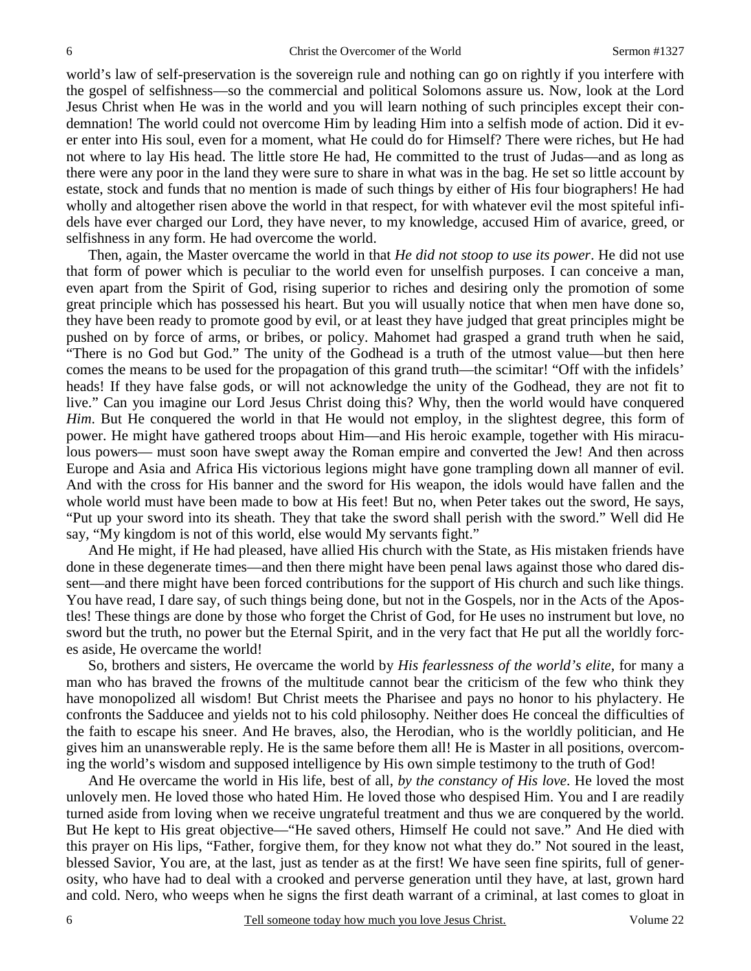world's law of self-preservation is the sovereign rule and nothing can go on rightly if you interfere with the gospel of selfishness—so the commercial and political Solomons assure us. Now, look at the Lord Jesus Christ when He was in the world and you will learn nothing of such principles except their condemnation! The world could not overcome Him by leading Him into a selfish mode of action. Did it ever enter into His soul, even for a moment, what He could do for Himself? There were riches, but He had not where to lay His head. The little store He had, He committed to the trust of Judas—and as long as there were any poor in the land they were sure to share in what was in the bag. He set so little account by estate, stock and funds that no mention is made of such things by either of His four biographers! He had wholly and altogether risen above the world in that respect, for with whatever evil the most spiteful infidels have ever charged our Lord, they have never, to my knowledge, accused Him of avarice, greed, or selfishness in any form. He had overcome the world.

 Then, again, the Master overcame the world in that *He did not stoop to use its power*. He did not use that form of power which is peculiar to the world even for unselfish purposes. I can conceive a man, even apart from the Spirit of God, rising superior to riches and desiring only the promotion of some great principle which has possessed his heart. But you will usually notice that when men have done so, they have been ready to promote good by evil, or at least they have judged that great principles might be pushed on by force of arms, or bribes, or policy. Mahomet had grasped a grand truth when he said, "There is no God but God." The unity of the Godhead is a truth of the utmost value—but then here comes the means to be used for the propagation of this grand truth—the scimitar! "Off with the infidels' heads! If they have false gods, or will not acknowledge the unity of the Godhead, they are not fit to live." Can you imagine our Lord Jesus Christ doing this? Why, then the world would have conquered *Him*. But He conquered the world in that He would not employ, in the slightest degree, this form of power. He might have gathered troops about Him—and His heroic example, together with His miraculous powers— must soon have swept away the Roman empire and converted the Jew! And then across Europe and Asia and Africa His victorious legions might have gone trampling down all manner of evil. And with the cross for His banner and the sword for His weapon, the idols would have fallen and the whole world must have been made to bow at His feet! But no, when Peter takes out the sword, He says, "Put up your sword into its sheath. They that take the sword shall perish with the sword." Well did He say, "My kingdom is not of this world, else would My servants fight."

 And He might, if He had pleased, have allied His church with the State, as His mistaken friends have done in these degenerate times—and then there might have been penal laws against those who dared dissent—and there might have been forced contributions for the support of His church and such like things. You have read, I dare say, of such things being done, but not in the Gospels, nor in the Acts of the Apostles! These things are done by those who forget the Christ of God, for He uses no instrument but love, no sword but the truth, no power but the Eternal Spirit, and in the very fact that He put all the worldly forces aside, He overcame the world!

 So, brothers and sisters, He overcame the world by *His fearlessness of the world's elite*, for many a man who has braved the frowns of the multitude cannot bear the criticism of the few who think they have monopolized all wisdom! But Christ meets the Pharisee and pays no honor to his phylactery. He confronts the Sadducee and yields not to his cold philosophy. Neither does He conceal the difficulties of the faith to escape his sneer. And He braves, also, the Herodian, who is the worldly politician, and He gives him an unanswerable reply. He is the same before them all! He is Master in all positions, overcoming the world's wisdom and supposed intelligence by His own simple testimony to the truth of God!

 And He overcame the world in His life, best of all, *by the constancy of His love*. He loved the most unlovely men. He loved those who hated Him. He loved those who despised Him. You and I are readily turned aside from loving when we receive ungrateful treatment and thus we are conquered by the world. But He kept to His great objective—"He saved others, Himself He could not save." And He died with this prayer on His lips, "Father, forgive them, for they know not what they do." Not soured in the least, blessed Savior, You are, at the last, just as tender as at the first! We have seen fine spirits, full of generosity, who have had to deal with a crooked and perverse generation until they have, at last, grown hard and cold. Nero, who weeps when he signs the first death warrant of a criminal, at last comes to gloat in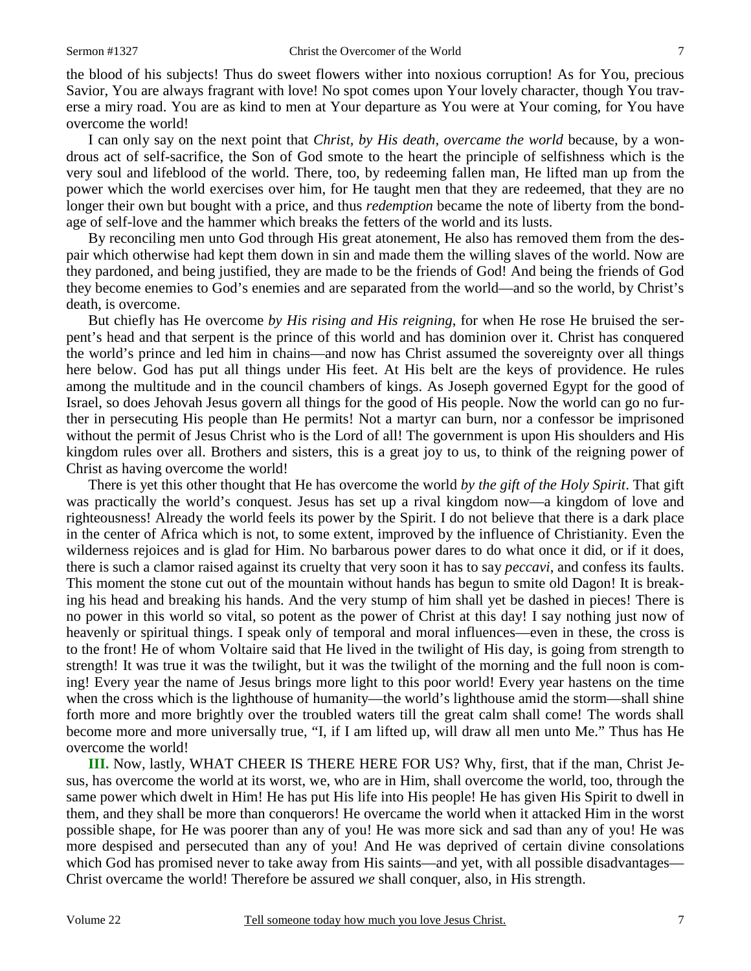the blood of his subjects! Thus do sweet flowers wither into noxious corruption! As for You, precious Savior, You are always fragrant with love! No spot comes upon Your lovely character, though You traverse a miry road. You are as kind to men at Your departure as You were at Your coming, for You have overcome the world!

 I can only say on the next point that *Christ, by His death, overcame the world* because, by a wondrous act of self-sacrifice, the Son of God smote to the heart the principle of selfishness which is the very soul and lifeblood of the world. There, too, by redeeming fallen man, He lifted man up from the power which the world exercises over him, for He taught men that they are redeemed, that they are no longer their own but bought with a price, and thus *redemption* became the note of liberty from the bondage of self-love and the hammer which breaks the fetters of the world and its lusts.

 By reconciling men unto God through His great atonement, He also has removed them from the despair which otherwise had kept them down in sin and made them the willing slaves of the world. Now are they pardoned, and being justified, they are made to be the friends of God! And being the friends of God they become enemies to God's enemies and are separated from the world—and so the world, by Christ's death, is overcome.

 But chiefly has He overcome *by His rising and His reigning*, for when He rose He bruised the serpent's head and that serpent is the prince of this world and has dominion over it. Christ has conquered the world's prince and led him in chains—and now has Christ assumed the sovereignty over all things here below. God has put all things under His feet. At His belt are the keys of providence. He rules among the multitude and in the council chambers of kings. As Joseph governed Egypt for the good of Israel, so does Jehovah Jesus govern all things for the good of His people. Now the world can go no further in persecuting His people than He permits! Not a martyr can burn, nor a confessor be imprisoned without the permit of Jesus Christ who is the Lord of all! The government is upon His shoulders and His kingdom rules over all. Brothers and sisters, this is a great joy to us, to think of the reigning power of Christ as having overcome the world!

 There is yet this other thought that He has overcome the world *by the gift of the Holy Spirit*. That gift was practically the world's conquest. Jesus has set up a rival kingdom now—a kingdom of love and righteousness! Already the world feels its power by the Spirit. I do not believe that there is a dark place in the center of Africa which is not, to some extent, improved by the influence of Christianity. Even the wilderness rejoices and is glad for Him. No barbarous power dares to do what once it did, or if it does, there is such a clamor raised against its cruelty that very soon it has to say *peccavi*, and confess its faults. This moment the stone cut out of the mountain without hands has begun to smite old Dagon! It is breaking his head and breaking his hands. And the very stump of him shall yet be dashed in pieces! There is no power in this world so vital, so potent as the power of Christ at this day! I say nothing just now of heavenly or spiritual things. I speak only of temporal and moral influences—even in these, the cross is to the front! He of whom Voltaire said that He lived in the twilight of His day, is going from strength to strength! It was true it was the twilight, but it was the twilight of the morning and the full noon is coming! Every year the name of Jesus brings more light to this poor world! Every year hastens on the time when the cross which is the lighthouse of humanity—the world's lighthouse amid the storm—shall shine forth more and more brightly over the troubled waters till the great calm shall come! The words shall become more and more universally true, "I, if I am lifted up, will draw all men unto Me." Thus has He overcome the world!

**III.** Now, lastly, WHAT CHEER IS THERE HERE FOR US? Why, first, that if the man, Christ Jesus, has overcome the world at its worst, we, who are in Him, shall overcome the world, too, through the same power which dwelt in Him! He has put His life into His people! He has given His Spirit to dwell in them, and they shall be more than conquerors! He overcame the world when it attacked Him in the worst possible shape, for He was poorer than any of you! He was more sick and sad than any of you! He was more despised and persecuted than any of you! And He was deprived of certain divine consolations which God has promised never to take away from His saints—and yet, with all possible disadvantages— Christ overcame the world! Therefore be assured *we* shall conquer, also, in His strength.